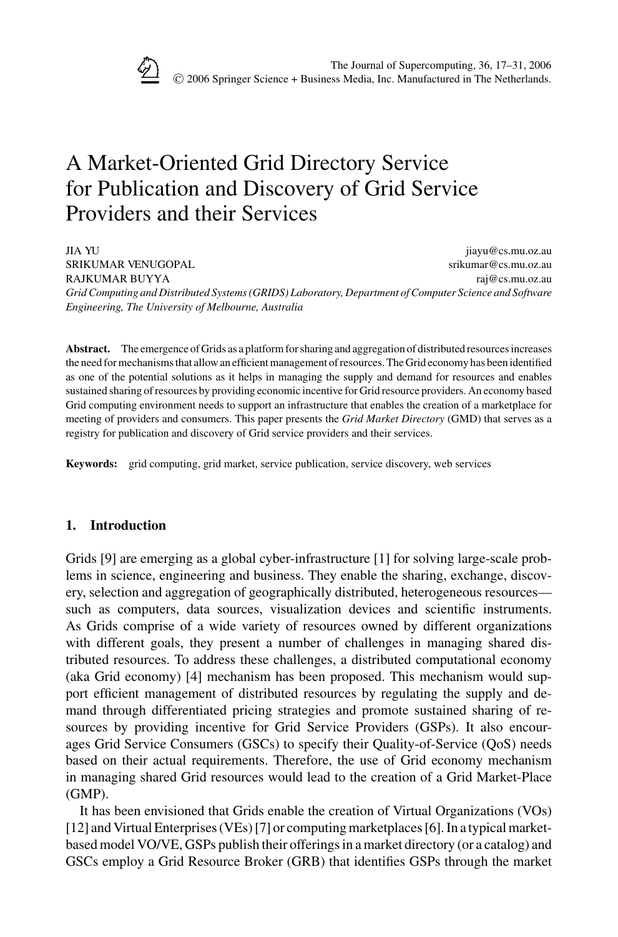

# A Market-Oriented Grid Directory Service for Publication and Discovery of Grid Service Providers and their Services

JIA YU jiayu@cs.mu.oz.au SRIKUMAR VENUGOPAL srikumar@cs.mu.oz.au RAJKUMAR BUYYA raj@cs.mu.oz.au *Grid Computing and Distributed Systems (GRIDS) Laboratory, Department of Computer Science and Software Engineering, The University of Melbourne, Australia*

**Abstract.** The emergence of Grids as a platform for sharing and aggregation of distributed resources increases the need for mechanisms that allow an efficient management of resources. The Grid economy has been identified as one of the potential solutions as it helps in managing the supply and demand for resources and enables sustained sharing of resources by providing economic incentive for Grid resource providers. An economy based Grid computing environment needs to support an infrastructure that enables the creation of a marketplace for meeting of providers and consumers. This paper presents the *Grid Market Directory* (GMD) that serves as a registry for publication and discovery of Grid service providers and their services.

**Keywords:** grid computing, grid market, service publication, service discovery, web services

# **1. Introduction**

Grids [9] are emerging as a global cyber-infrastructure [1] for solving large-scale problems in science, engineering and business. They enable the sharing, exchange, discovery, selection and aggregation of geographically distributed, heterogeneous resources such as computers, data sources, visualization devices and scientific instruments. As Grids comprise of a wide variety of resources owned by different organizations with different goals, they present a number of challenges in managing shared distributed resources. To address these challenges, a distributed computational economy (aka Grid economy) [4] mechanism has been proposed. This mechanism would support efficient management of distributed resources by regulating the supply and demand through differentiated pricing strategies and promote sustained sharing of resources by providing incentive for Grid Service Providers (GSPs). It also encourages Grid Service Consumers (GSCs) to specify their Quality-of-Service (QoS) needs based on their actual requirements. Therefore, the use of Grid economy mechanism in managing shared Grid resources would lead to the creation of a Grid Market-Place (GMP).

It has been envisioned that Grids enable the creation of Virtual Organizations (VOs) [12] and Virtual Enterprises (VEs) [7] or computing marketplaces [6]. In a typical marketbased model VO/VE, GSPs publish their offerings in a market directory (or a catalog) and GSCs employ a Grid Resource Broker (GRB) that identifies GSPs through the market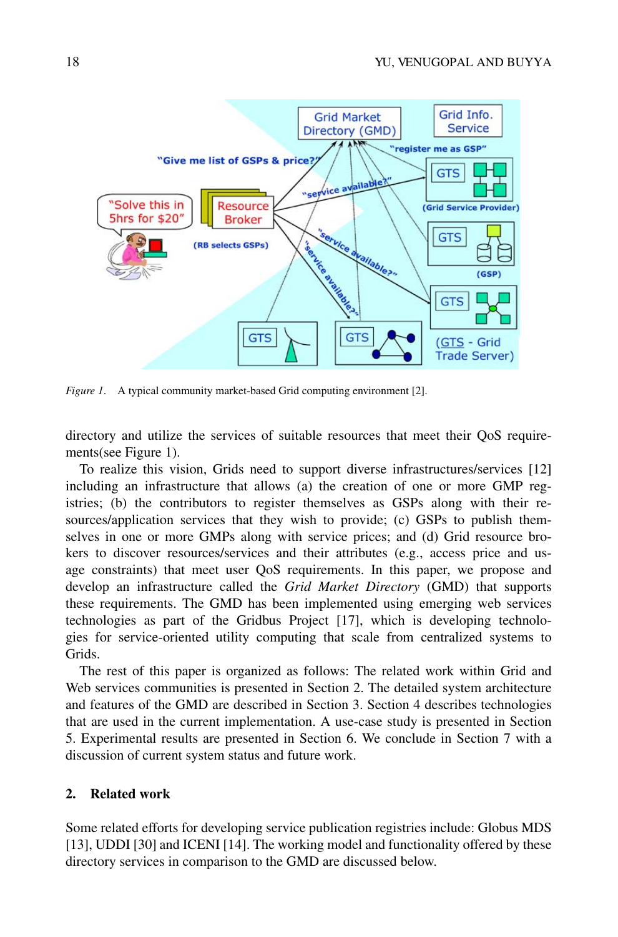

*Figure 1.* A typical community market-based Grid computing environment [2].

directory and utilize the services of suitable resources that meet their QoS requirements(see Figure 1).

To realize this vision, Grids need to support diverse infrastructures/services [12] including an infrastructure that allows (a) the creation of one or more GMP registries; (b) the contributors to register themselves as GSPs along with their resources/application services that they wish to provide; (c) GSPs to publish themselves in one or more GMPs along with service prices; and (d) Grid resource brokers to discover resources/services and their attributes (e.g., access price and usage constraints) that meet user QoS requirements. In this paper, we propose and develop an infrastructure called the *Grid Market Directory* (GMD) that supports these requirements. The GMD has been implemented using emerging web services technologies as part of the Gridbus Project [17], which is developing technologies for service-oriented utility computing that scale from centralized systems to Grids.

The rest of this paper is organized as follows: The related work within Grid and Web services communities is presented in Section 2. The detailed system architecture and features of the GMD are described in Section 3. Section 4 describes technologies that are used in the current implementation. A use-case study is presented in Section 5. Experimental results are presented in Section 6. We conclude in Section 7 with a discussion of current system status and future work.

## **2. Related work**

Some related efforts for developing service publication registries include: Globus MDS [13], UDDI [30] and ICENI [14]. The working model and functionality offered by these directory services in comparison to the GMD are discussed below.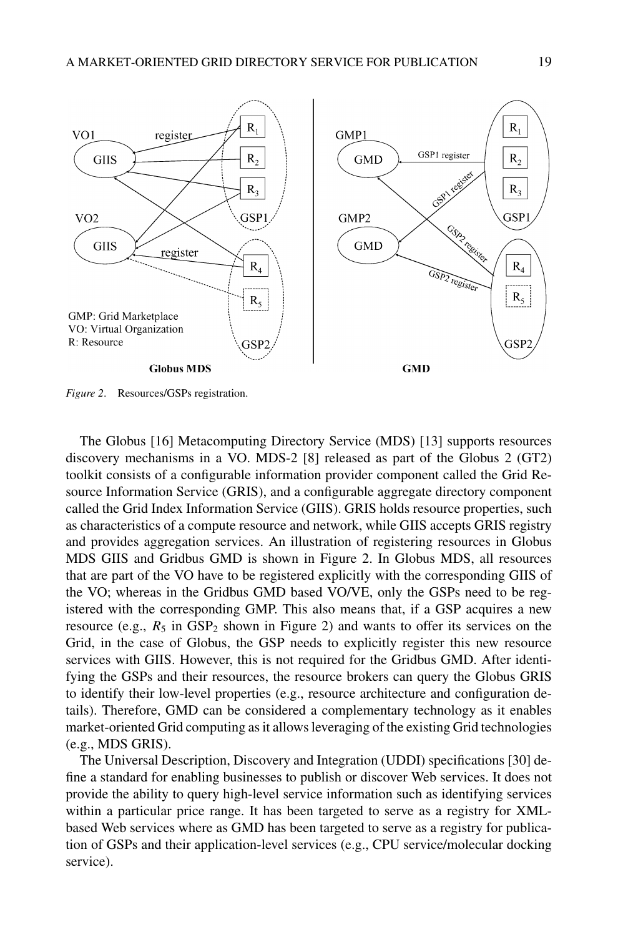

*Figure 2*. Resources/GSPs registration.

The Globus [16] Metacomputing Directory Service (MDS) [13] supports resources discovery mechanisms in a VO. MDS-2 [8] released as part of the Globus 2 (GT2) toolkit consists of a configurable information provider component called the Grid Resource Information Service (GRIS), and a configurable aggregate directory component called the Grid Index Information Service (GIIS). GRIS holds resource properties, such as characteristics of a compute resource and network, while GIIS accepts GRIS registry and provides aggregation services. An illustration of registering resources in Globus MDS GIIS and Gridbus GMD is shown in Figure 2. In Globus MDS, all resources that are part of the VO have to be registered explicitly with the corresponding GIIS of the VO; whereas in the Gridbus GMD based VO/VE, only the GSPs need to be registered with the corresponding GMP. This also means that, if a GSP acquires a new resource (e.g.,  $R_5$  in  $GSP_2$  shown in Figure 2) and wants to offer its services on the Grid, in the case of Globus, the GSP needs to explicitly register this new resource services with GIIS. However, this is not required for the Gridbus GMD. After identifying the GSPs and their resources, the resource brokers can query the Globus GRIS to identify their low-level properties (e.g., resource architecture and configuration details). Therefore, GMD can be considered a complementary technology as it enables market-oriented Grid computing as it allows leveraging of the existing Grid technologies (e.g., MDS GRIS).

The Universal Description, Discovery and Integration (UDDI) specifications [30] define a standard for enabling businesses to publish or discover Web services. It does not provide the ability to query high-level service information such as identifying services within a particular price range. It has been targeted to serve as a registry for XMLbased Web services where as GMD has been targeted to serve as a registry for publication of GSPs and their application-level services (e.g., CPU service/molecular docking service).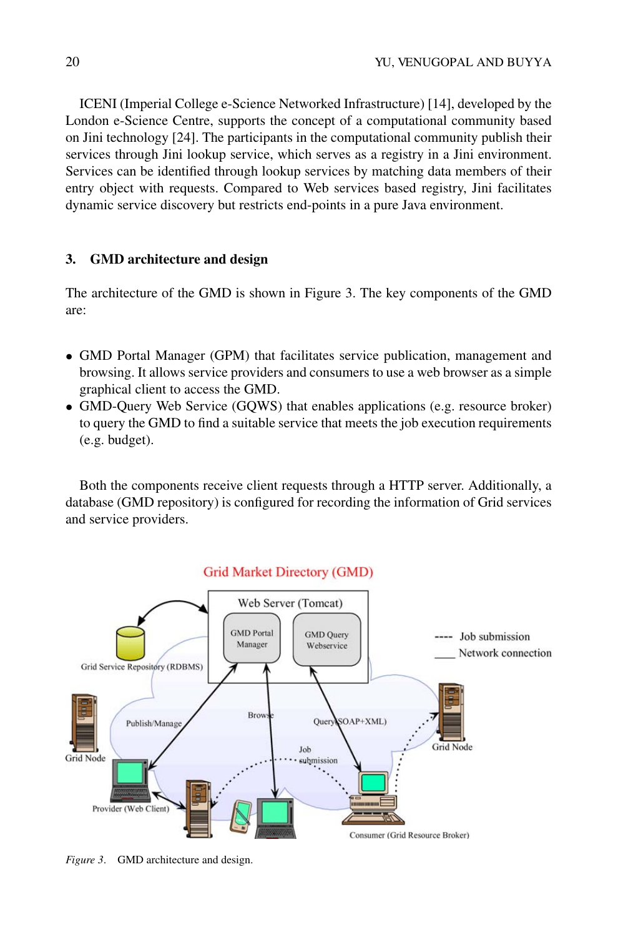ICENI (Imperial College e-Science Networked Infrastructure) [14], developed by the London e-Science Centre, supports the concept of a computational community based on Jini technology [24]. The participants in the computational community publish their services through Jini lookup service, which serves as a registry in a Jini environment. Services can be identified through lookup services by matching data members of their entry object with requests. Compared to Web services based registry, Jini facilitates dynamic service discovery but restricts end-points in a pure Java environment.

#### **3. GMD architecture and design**

The architecture of the GMD is shown in Figure 3. The key components of the GMD are:

- GMD Portal Manager (GPM) that facilitates service publication, management and browsing. It allows service providers and consumers to use a web browser as a simple graphical client to access the GMD.
- GMD-Query Web Service (GQWS) that enables applications (e.g. resource broker) to query the GMD to find a suitable service that meets the job execution requirements (e.g. budget).

Both the components receive client requests through a HTTP server. Additionally, a database (GMD repository) is configured for recording the information of Grid services and service providers.



*Figure 3*. GMD architecture and design.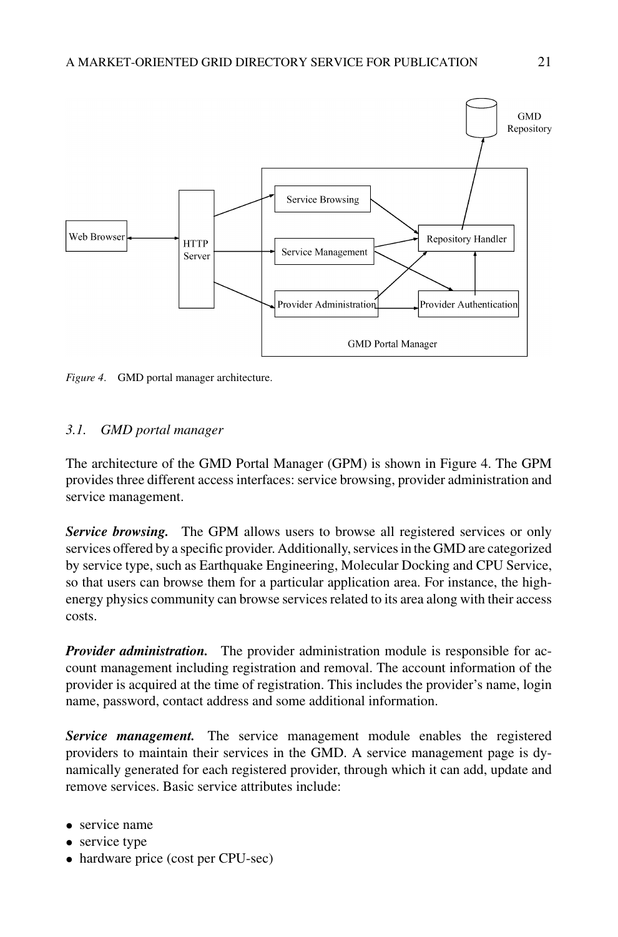

*Figure 4*. GMD portal manager architecture.

# *3.1. GMD portal manager*

The architecture of the GMD Portal Manager (GPM) is shown in Figure 4. The GPM provides three different access interfaces: service browsing, provider administration and service management.

*Service browsing.* The GPM allows users to browse all registered services or only services offered by a specific provider. Additionally, services in the GMD are categorized by service type, such as Earthquake Engineering, Molecular Docking and CPU Service, so that users can browse them for a particular application area. For instance, the highenergy physics community can browse services related to its area along with their access costs.

*Provider administration.* The provider administration module is responsible for account management including registration and removal. The account information of the provider is acquired at the time of registration. This includes the provider's name, login name, password, contact address and some additional information.

*Service management.* The service management module enables the registered providers to maintain their services in the GMD. A service management page is dynamically generated for each registered provider, through which it can add, update and remove services. Basic service attributes include:

- service name
- service type
- hardware price (cost per CPU-sec)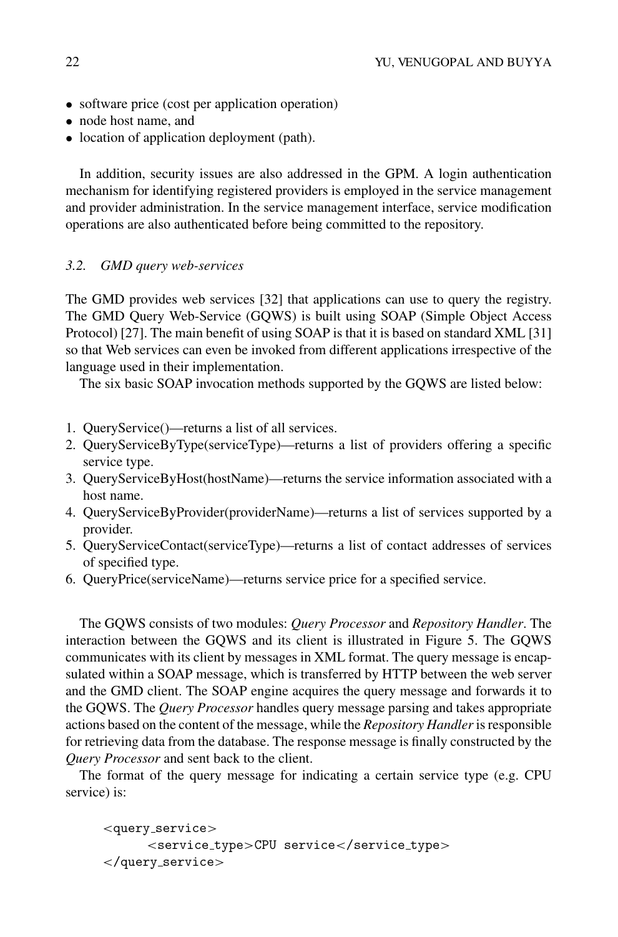- software price (cost per application operation)
- node host name, and
- location of application deployment (path).

In addition, security issues are also addressed in the GPM. A login authentication mechanism for identifying registered providers is employed in the service management and provider administration. In the service management interface, service modification operations are also authenticated before being committed to the repository.

#### *3.2. GMD query web-services*

The GMD provides web services [32] that applications can use to query the registry. The GMD Query Web-Service (GQWS) is built using SOAP (Simple Object Access Protocol) [27]. The main benefit of using SOAP is that it is based on standard XML [31] so that Web services can even be invoked from different applications irrespective of the language used in their implementation.

The six basic SOAP invocation methods supported by the GQWS are listed below:

- 1. QueryService()—returns a list of all services.
- 2. QueryServiceByType(serviceType)—returns a list of providers offering a specific service type.
- 3. QueryServiceByHost(hostName)—returns the service information associated with a host name.
- 4. QueryServiceByProvider(providerName)—returns a list of services supported by a provider.
- 5. QueryServiceContact(serviceType)—returns a list of contact addresses of services of specified type.
- 6. QueryPrice(serviceName)—returns service price for a specified service.

The GQWS consists of two modules: *Query Processor* and *Repository Handler*. The interaction between the GQWS and its client is illustrated in Figure 5. The GQWS communicates with its client by messages in XML format. The query message is encapsulated within a SOAP message, which is transferred by HTTP between the web server and the GMD client. The SOAP engine acquires the query message and forwards it to the GQWS. The *Query Processor* handles query message parsing and takes appropriate actions based on the content of the message, while the *Repository Handler*is responsible for retrieving data from the database. The response message is finally constructed by the *Query Processor* and sent back to the client.

The format of the query message for indicating a certain service type (e.g. CPU service) is:

```
<query service>
     <service type>CPU service</service type>
</query service>
```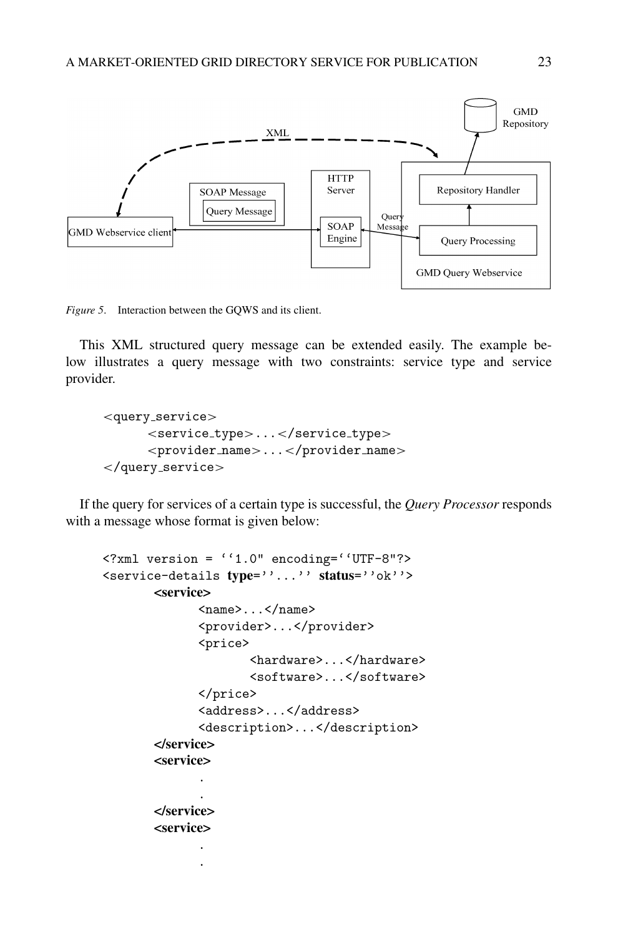

*Figure 5*. Interaction between the GQWS and its client.

This XML structured query message can be extended easily. The example below illustrates a query message with two constraints: service type and service provider.

```
<query service>
     <service_type>...</service_type>
     <provider name>...</provider name>
</query service>
```
If the query for services of a certain type is successful, the *Query Processor* responds with a message whose format is given below:

```
<?xml version = ''1.0" encoding=''UTF-8"?>
<service-details type=''...'' status=''ok''>
       <service>
              <name>...</name>
              <provider>...</provider>
              <price>
                     <hardware>...</hardware>
                     <software>...</software>
              </price>
              <address>...</address>
              <description>...</description>
       </service>
       <service>
              .
              .
       </service>
       <service>
              .
              .
```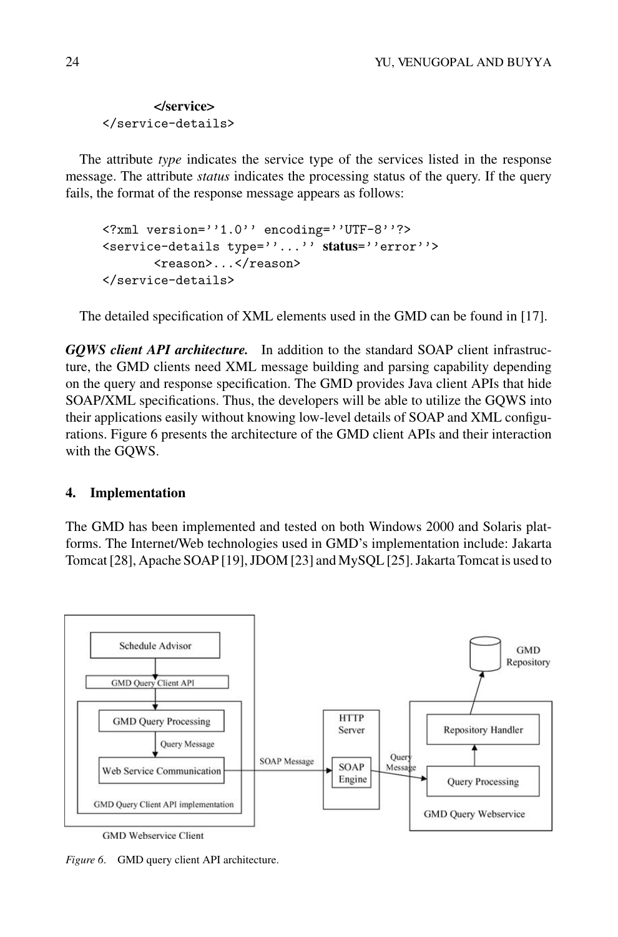# **</service>** </service-details>

The attribute *type* indicates the service type of the services listed in the response message. The attribute *status* indicates the processing status of the query. If the query fails, the format of the response message appears as follows:

```
<?xml version=''1.0'' encoding=''UTF-8''?>
<service-details type=''...'' status=''error''>
       <reason>...</reason>
</service-details>
```
The detailed specification of XML elements used in the GMD can be found in [17].

*GQWS client API architecture.* In addition to the standard SOAP client infrastructure, the GMD clients need XML message building and parsing capability depending on the query and response specification. The GMD provides Java client APIs that hide SOAP/XML specifications. Thus, the developers will be able to utilize the GQWS into their applications easily without knowing low-level details of SOAP and XML configurations. Figure 6 presents the architecture of the GMD client APIs and their interaction with the GQWS.

## **4. Implementation**

The GMD has been implemented and tested on both Windows 2000 and Solaris platforms. The Internet/Web technologies used in GMD's implementation include: Jakarta Tomcat [28], Apache SOAP [19], JDOM [23] and MySQL [25]. Jakarta Tomcat is used to



*Figure 6*. GMD query client API architecture.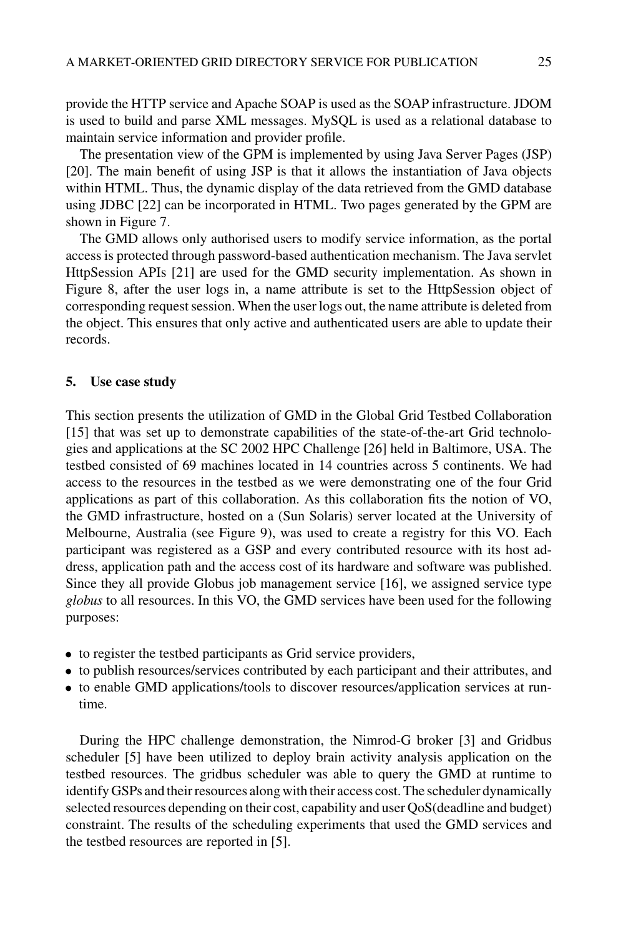provide the HTTP service and Apache SOAP is used as the SOAP infrastructure. JDOM is used to build and parse XML messages. MySQL is used as a relational database to maintain service information and provider profile.

The presentation view of the GPM is implemented by using Java Server Pages (JSP) [20]. The main benefit of using JSP is that it allows the instantiation of Java objects within HTML. Thus, the dynamic display of the data retrieved from the GMD database using JDBC [22] can be incorporated in HTML. Two pages generated by the GPM are shown in Figure 7.

The GMD allows only authorised users to modify service information, as the portal access is protected through password-based authentication mechanism. The Java servlet HttpSession APIs [21] are used for the GMD security implementation. As shown in Figure 8, after the user logs in, a name attribute is set to the HttpSession object of corresponding request session. When the user logs out, the name attribute is deleted from the object. This ensures that only active and authenticated users are able to update their records.

#### **5. Use case study**

This section presents the utilization of GMD in the Global Grid Testbed Collaboration [15] that was set up to demonstrate capabilities of the state-of-the-art Grid technologies and applications at the SC 2002 HPC Challenge [26] held in Baltimore, USA. The testbed consisted of 69 machines located in 14 countries across 5 continents. We had access to the resources in the testbed as we were demonstrating one of the four Grid applications as part of this collaboration. As this collaboration fits the notion of VO, the GMD infrastructure, hosted on a (Sun Solaris) server located at the University of Melbourne, Australia (see Figure 9), was used to create a registry for this VO. Each participant was registered as a GSP and every contributed resource with its host address, application path and the access cost of its hardware and software was published. Since they all provide Globus job management service [16], we assigned service type *globus* to all resources. In this VO, the GMD services have been used for the following purposes:

- to register the testbed participants as Grid service providers,
- to publish resources/services contributed by each participant and their attributes, and
- to enable GMD applications/tools to discover resources/application services at runtime.

During the HPC challenge demonstration, the Nimrod-G broker [3] and Gridbus scheduler [5] have been utilized to deploy brain activity analysis application on the testbed resources. The gridbus scheduler was able to query the GMD at runtime to identify GSPs and their resources along with their access cost. The scheduler dynamically selected resources depending on their cost, capability and user QoS(deadline and budget) constraint. The results of the scheduling experiments that used the GMD services and the testbed resources are reported in [5].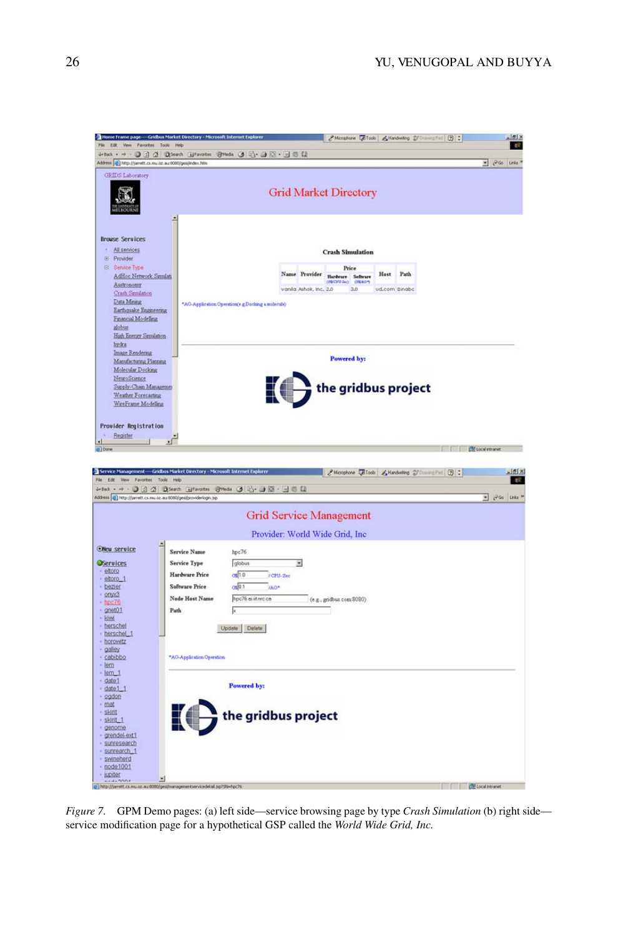

*Figure 7.* GPM Demo pages: (a) left side—service browsing page by type *Crash Simulation* (b) right side service modification page for a hypothetical GSP called the *World Wide Grid, Inc.*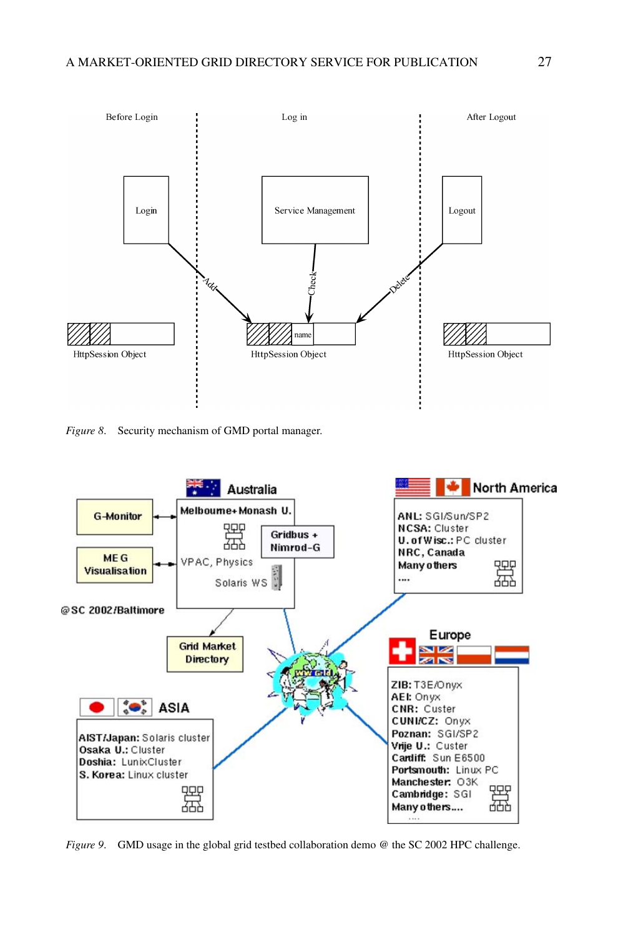

*Figure 8*. Security mechanism of GMD portal manager.



*Figure 9*. GMD usage in the global grid testbed collaboration demo @ the SC 2002 HPC challenge.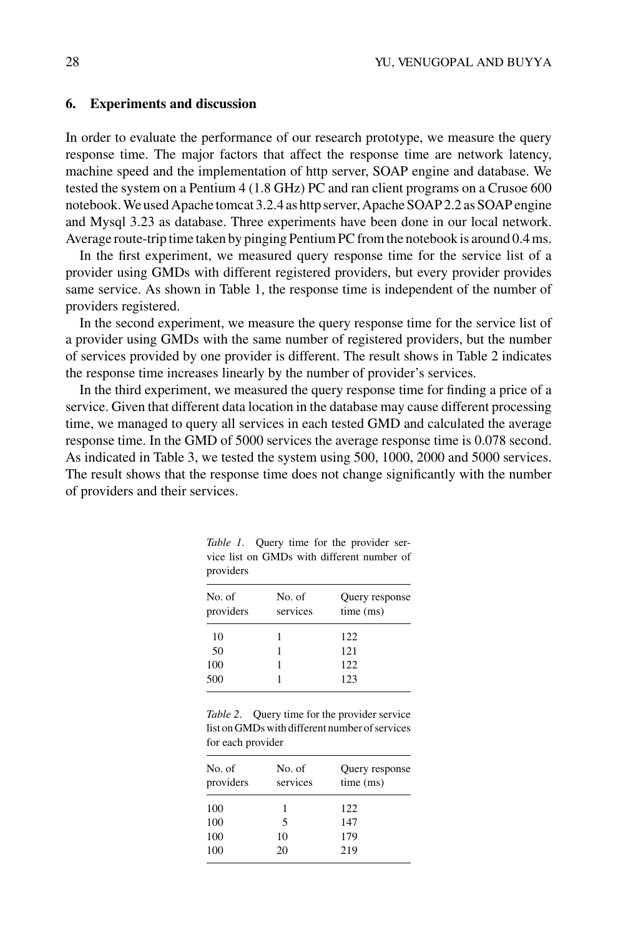#### **6. Experiments and discussion**

In order to evaluate the performance of our research prototype, we measure the query response time. The major factors that affect the response time are network latency, machine speed and the implementation of http server, SOAP engine and database. We tested the system on a Pentium 4 (1.8 GHz) PC and ran client programs on a Crusoe 600 notebook. We used Apache tomcat 3.2.4 as http server, Apache SOAP 2.2 as SOAP engine and Mysql 3.23 as database. Three experiments have been done in our local network. Average route-trip time taken by pinging Pentium PC from the notebook is around 0.4 ms.

In the first experiment, we measured query response time for the service list of a provider using GMDs with different registered providers, but every provider provides same service. As shown in Table 1, the response time is independent of the number of providers registered.

In the second experiment, we measure the query response time for the service list of a provider using GMDs with the same number of registered providers, but the number of services provided by one provider is different. The result shows in Table 2 indicates the response time increases linearly by the number of provider's services.

In the third experiment, we measured the query response time for finding a price of a service. Given that different data location in the database may cause different processing time, we managed to query all services in each tested GMD and calculated the average response time. In the GMD of 5000 services the average response time is 0.078 second. As indicated in Table 3, we tested the system using 500, 1000, 2000 and 5000 services. The result shows that the response time does not change significantly with the number of providers and their services.

| providers           |                    |                             |  |  |
|---------------------|--------------------|-----------------------------|--|--|
| No. of<br>providers | No. of<br>services | Query response<br>time (ms) |  |  |
| 10                  |                    | 122                         |  |  |
| 50                  |                    | 121                         |  |  |
| 100                 |                    | 122                         |  |  |
| 500                 |                    | 123                         |  |  |
|                     |                    |                             |  |  |

*Table 1*. Query time for the provider service list on GMDs with different number of providers

|                   | <i>Table 2.</i> Ouery time for the provider service |
|-------------------|-----------------------------------------------------|
|                   | list on GMDs with different number of services      |
| for each provider |                                                     |

| No. of<br>providers | No. of<br>services | Query response<br>time (ms) |
|---------------------|--------------------|-----------------------------|
| 100                 |                    | 122                         |
| 100                 | 5                  | 147                         |
| 100                 | 10                 | 179                         |
| 100                 | 20                 | 219                         |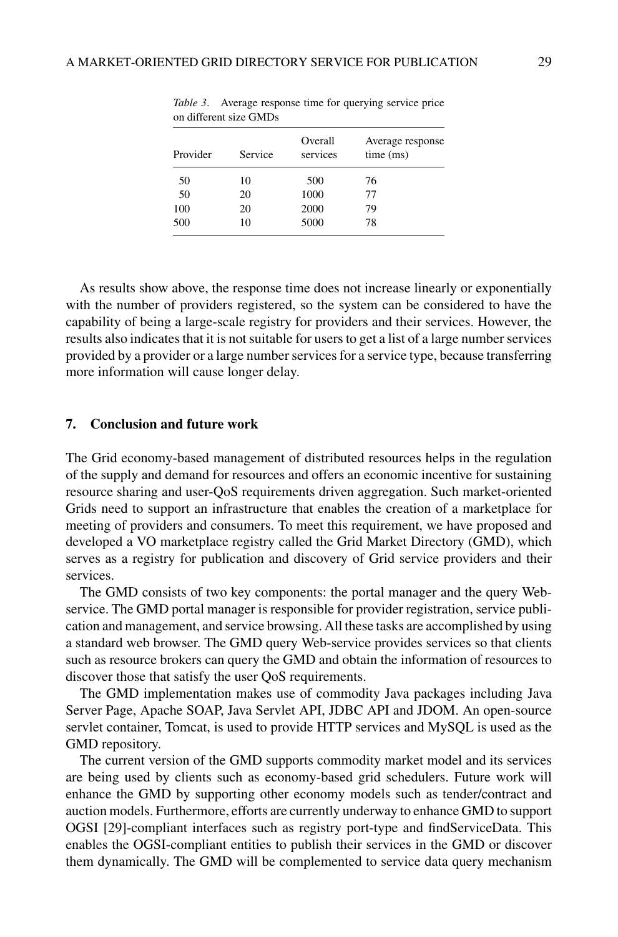| Provider | Service | Overall<br>services | Average response<br>time (ms) |
|----------|---------|---------------------|-------------------------------|
| 50       | 10      | 500                 | 76                            |
| 50       | 20      | 1000                | 77                            |
| 100      | 20      | 2000                | 79                            |
| 500      | 10      | 5000                | 78                            |

*Table 3*. Average response time for querying service price on different size GMDs

As results show above, the response time does not increase linearly or exponentially with the number of providers registered, so the system can be considered to have the capability of being a large-scale registry for providers and their services. However, the results also indicates that it is not suitable for users to get a list of a large number services provided by a provider or a large number services for a service type, because transferring more information will cause longer delay.

#### **7. Conclusion and future work**

The Grid economy-based management of distributed resources helps in the regulation of the supply and demand for resources and offers an economic incentive for sustaining resource sharing and user-QoS requirements driven aggregation. Such market-oriented Grids need to support an infrastructure that enables the creation of a marketplace for meeting of providers and consumers. To meet this requirement, we have proposed and developed a VO marketplace registry called the Grid Market Directory (GMD), which serves as a registry for publication and discovery of Grid service providers and their services.

The GMD consists of two key components: the portal manager and the query Webservice. The GMD portal manager is responsible for provider registration, service publication and management, and service browsing. All these tasks are accomplished by using a standard web browser. The GMD query Web-service provides services so that clients such as resource brokers can query the GMD and obtain the information of resources to discover those that satisfy the user QoS requirements.

The GMD implementation makes use of commodity Java packages including Java Server Page, Apache SOAP, Java Servlet API, JDBC API and JDOM. An open-source servlet container, Tomcat, is used to provide HTTP services and MySQL is used as the GMD repository.

The current version of the GMD supports commodity market model and its services are being used by clients such as economy-based grid schedulers. Future work will enhance the GMD by supporting other economy models such as tender/contract and auction models. Furthermore, efforts are currently underway to enhance GMD to support OGSI [29]-compliant interfaces such as registry port-type and findServiceData. This enables the OGSI-compliant entities to publish their services in the GMD or discover them dynamically. The GMD will be complemented to service data query mechanism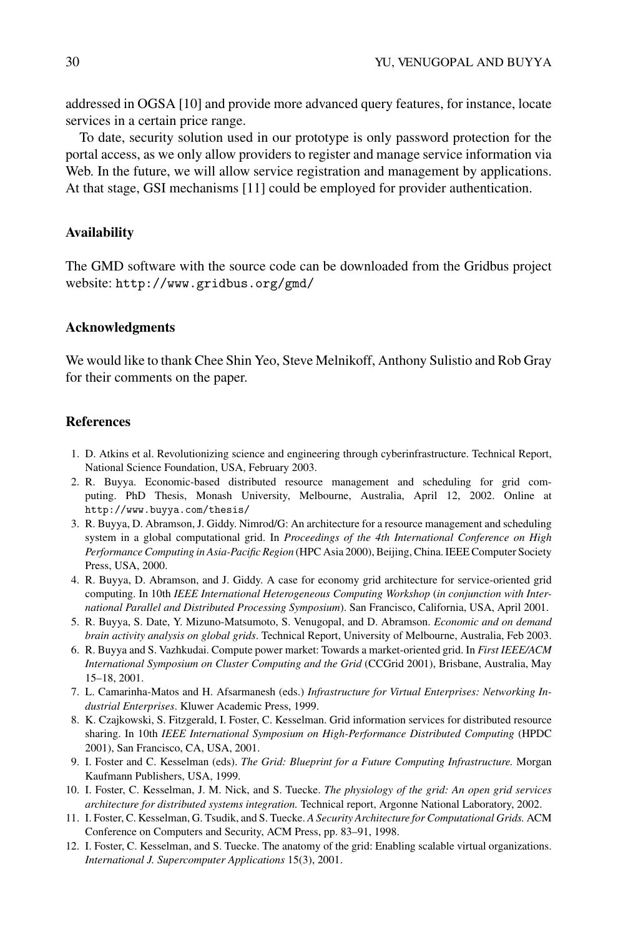addressed in OGSA [10] and provide more advanced query features, for instance, locate services in a certain price range.

To date, security solution used in our prototype is only password protection for the portal access, as we only allow providers to register and manage service information via Web. In the future, we will allow service registration and management by applications. At that stage, GSI mechanisms [11] could be employed for provider authentication.

#### **Availability**

The GMD software with the source code can be downloaded from the Gridbus project website: http://www.gridbus.org/gmd/

#### **Acknowledgments**

We would like to thank Chee Shin Yeo, Steve Melnikoff, Anthony Sulistio and Rob Gray for their comments on the paper.

## **References**

- 1. D. Atkins et al. Revolutionizing science and engineering through cyberinfrastructure. Technical Report, National Science Foundation, USA, February 2003.
- 2. R. Buyya. Economic-based distributed resource management and scheduling for grid computing. PhD Thesis, Monash University, Melbourne, Australia, April 12, 2002. Online at http://www.buyya.com/thesis/
- 3. R. Buyya, D. Abramson, J. Giddy. Nimrod/G: An architecture for a resource management and scheduling system in a global computational grid. In *Proceedings of the 4th International Conference on High Performance Computing in Asia-Pacific Region* (HPC Asia 2000), Beijing, China. IEEE Computer Society Press, USA, 2000.
- 4. R. Buyya, D. Abramson, and J. Giddy. A case for economy grid architecture for service-oriented grid computing. In 10th *IEEE International Heterogeneous Computing Workshop* (*in conjunction with International Parallel and Distributed Processing Symposium*). San Francisco, California, USA, April 2001.
- 5. R. Buyya, S. Date, Y. Mizuno-Matsumoto, S. Venugopal, and D. Abramson. *Economic and on demand brain activity analysis on global grids*. Technical Report, University of Melbourne, Australia, Feb 2003.
- 6. R. Buyya and S. Vazhkudai. Compute power market: Towards a market-oriented grid. In *First IEEE/ACM International Symposium on Cluster Computing and the Grid* (CCGrid 2001), Brisbane, Australia, May 15–18, 2001.
- 7. L. Camarinha-Matos and H. Afsarmanesh (eds.) *Infrastructure for Virtual Enterprises: Networking Industrial Enterprises*. Kluwer Academic Press, 1999.
- 8. K. Czajkowski, S. Fitzgerald, I. Foster, C. Kesselman. Grid information services for distributed resource sharing. In 10th *IEEE International Symposium on High-Performance Distributed Computing* (HPDC 2001), San Francisco, CA, USA, 2001.
- 9. I. Foster and C. Kesselman (eds). *The Grid: Blueprint for a Future Computing Infrastructure.* Morgan Kaufmann Publishers, USA, 1999.
- 10. I. Foster, C. Kesselman, J. M. Nick, and S. Tuecke. *The physiology of the grid: An open grid services architecture for distributed systems integration.* Technical report, Argonne National Laboratory, 2002.
- 11. I. Foster, C. Kesselman, G. Tsudik, and S. Tuecke. *A Security Architecture for Computational Grids.* ACM Conference on Computers and Security, ACM Press, pp. 83–91, 1998.
- 12. I. Foster, C. Kesselman, and S. Tuecke. The anatomy of the grid: Enabling scalable virtual organizations. *International J. Supercomputer Applications* 15(3), 2001.